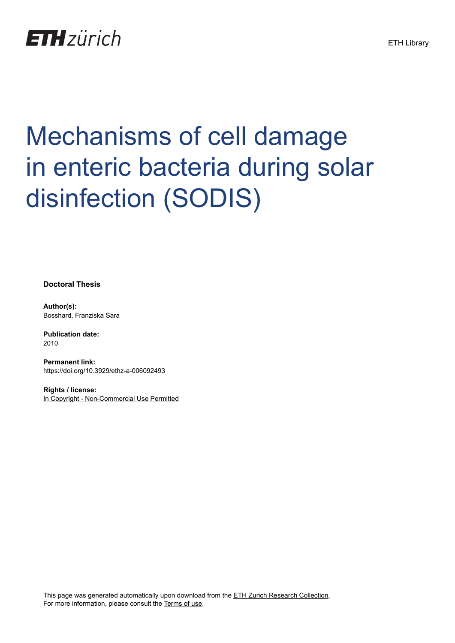

# Mechanisms of cell damage in enteric bacteria during solar disinfection (SODIS)

**Doctoral Thesis**

**Author(s):** Bosshard, Franziska Sara

**Publication date:** 2010

**Permanent link:** <https://doi.org/10.3929/ethz-a-006092493>

**Rights / license:** [In Copyright - Non-Commercial Use Permitted](http://rightsstatements.org/page/InC-NC/1.0/)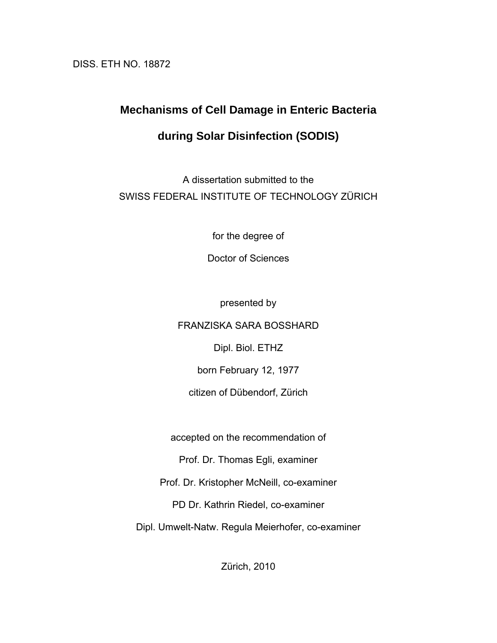DISS. ETH NO. 18872

# **Mechanisms of Cell Damage in Enteric Bacteria**

## **during Solar Disinfection (SODIS)**

A dissertation submitted to the SWISS FEDERAL INSTITUTE OF TECHNOLOGY ZÜRICH

for the degree of

Doctor of Sciences

presented by

FRANZISKA SARA BOSSHARD

Dipl. Biol. ETHZ

born February 12, 1977

citizen of Dübendorf, Zürich

accepted on the recommendation of

Prof. Dr. Thomas Egli, examiner

Prof. Dr. Kristopher McNeill, co-examiner

PD Dr. Kathrin Riedel, co-examiner

Dipl. Umwelt-Natw. Regula Meierhofer, co-examiner

Zürich, 2010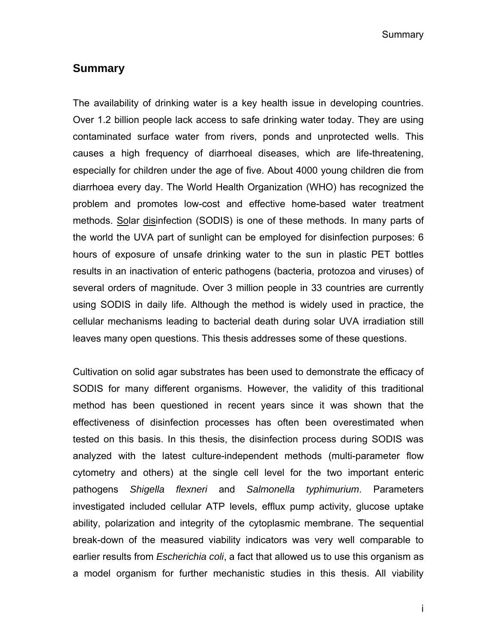Summary

#### **Summary**

The availability of drinking water is a key health issue in developing countries. Over 1.2 billion people lack access to safe drinking water today. They are using contaminated surface water from rivers, ponds and unprotected wells. This causes a high frequency of diarrhoeal diseases, which are life-threatening, especially for children under the age of five. About 4000 young children die from diarrhoea every day. The World Health Organization (WHO) has recognized the problem and promotes low-cost and effective home-based water treatment methods. Solar disinfection (SODIS) is one of these methods. In many parts of the world the UVA part of sunlight can be employed for disinfection purposes: 6 hours of exposure of unsafe drinking water to the sun in plastic PET bottles results in an inactivation of enteric pathogens (bacteria, protozoa and viruses) of several orders of magnitude. Over 3 million people in 33 countries are currently using SODIS in daily life. Although the method is widely used in practice, the cellular mechanisms leading to bacterial death during solar UVA irradiation still leaves many open questions. This thesis addresses some of these questions.

Cultivation on solid agar substrates has been used to demonstrate the efficacy of SODIS for many different organisms. However, the validity of this traditional method has been questioned in recent years since it was shown that the effectiveness of disinfection processes has often been overestimated when tested on this basis. In this thesis, the disinfection process during SODIS was analyzed with the latest culture-independent methods (multi-parameter flow cytometry and others) at the single cell level for the two important enteric pathogens *Shigella flexneri* and *Salmonella typhimurium*. Parameters investigated included cellular ATP levels, efflux pump activity, glucose uptake ability, polarization and integrity of the cytoplasmic membrane. The sequential break-down of the measured viability indicators was very well comparable to earlier results from *Escherichia coli*, a fact that allowed us to use this organism as a model organism for further mechanistic studies in this thesis. All viability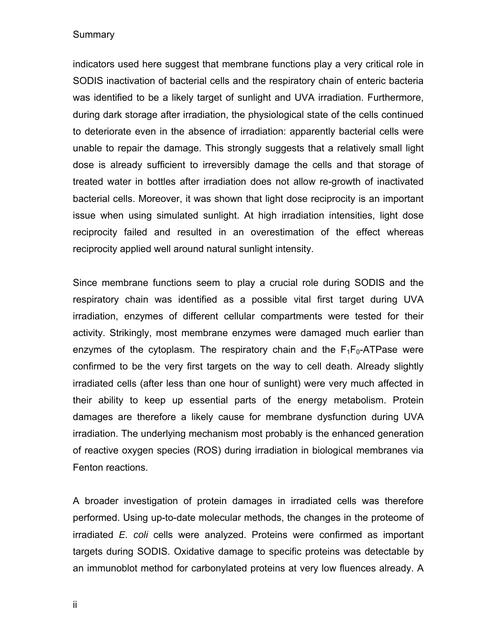#### **Summary**

indicators used here suggest that membrane functions play a very critical role in SODIS inactivation of bacterial cells and the respiratory chain of enteric bacteria was identified to be a likely target of sunlight and UVA irradiation. Furthermore, during dark storage after irradiation, the physiological state of the cells continued to deteriorate even in the absence of irradiation: apparently bacterial cells were unable to repair the damage. This strongly suggests that a relatively small light dose is already sufficient to irreversibly damage the cells and that storage of treated water in bottles after irradiation does not allow re-growth of inactivated bacterial cells. Moreover, it was shown that light dose reciprocity is an important issue when using simulated sunlight. At high irradiation intensities, light dose reciprocity failed and resulted in an overestimation of the effect whereas reciprocity applied well around natural sunlight intensity.

Since membrane functions seem to play a crucial role during SODIS and the respiratory chain was identified as a possible vital first target during UVA irradiation, enzymes of different cellular compartments were tested for their activity. Strikingly, most membrane enzymes were damaged much earlier than enzymes of the cytoplasm. The respiratory chain and the  $F_1F_0$ -ATPase were confirmed to be the very first targets on the way to cell death. Already slightly irradiated cells (after less than one hour of sunlight) were very much affected in their ability to keep up essential parts of the energy metabolism. Protein damages are therefore a likely cause for membrane dysfunction during UVA irradiation. The underlying mechanism most probably is the enhanced generation of reactive oxygen species (ROS) during irradiation in biological membranes via Fenton reactions.

A broader investigation of protein damages in irradiated cells was therefore performed. Using up-to-date molecular methods, the changes in the proteome of irradiated *E. coli* cells were analyzed. Proteins were confirmed as important targets during SODIS. Oxidative damage to specific proteins was detectable by an immunoblot method for carbonylated proteins at very low fluences already. A

ii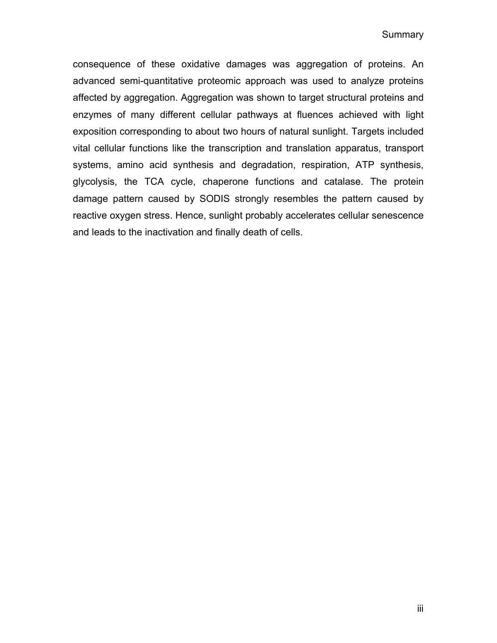consequence of these oxidative damages was aggregation of proteins. An advanced semi-quantitative proteomic approach was used to analyze proteins affected by aggregation. Aggregation was shown to target structural proteins and enzymes of many different cellular pathways at fluences achieved with light exposition corresponding to about two hours of natural sunlight. Targets included vital cellular functions like the transcription and translation apparatus, transport systems, amino acid synthesis and degradation, respiration, ATP synthesis, glycolysis, the TCA cycle, chaperone functions and catalase. The protein damage pattern caused by SODIS strongly resembles the pattern caused by reactive oxygen stress. Hence, sunlight probably accelerates cellular senescence and leads to the inactivation and finally death of cells.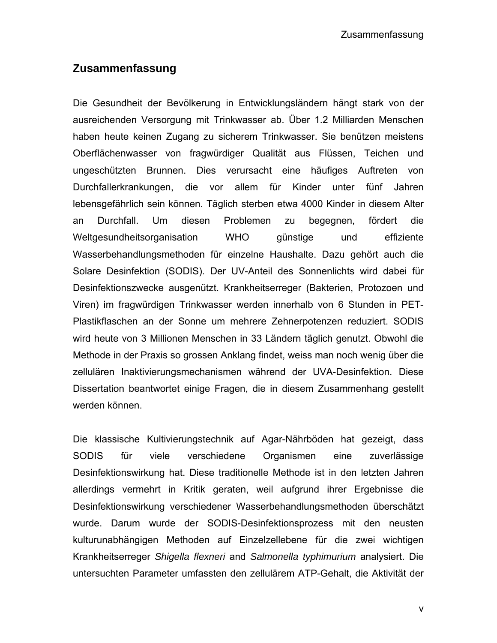### **Zusammenfassung**

Die Gesundheit der Bevölkerung in Entwicklungsländern hängt stark von der ausreichenden Versorgung mit Trinkwasser ab. Über 1.2 Milliarden Menschen haben heute keinen Zugang zu sicherem Trinkwasser. Sie benützen meistens Oberflächenwasser von fragwürdiger Qualität aus Flüssen, Teichen und ungeschützten Brunnen. Dies verursacht eine häufiges Auftreten von Durchfallerkrankungen, die vor allem für Kinder unter fünf Jahren lebensgefährlich sein können. Täglich sterben etwa 4000 Kinder in diesem Alter an Durchfall. Um diesen Problemen zu begegnen, fördert die Weltgesundheitsorganisation WHO günstige und effiziente Wasserbehandlungsmethoden für einzelne Haushalte. Dazu gehört auch die Solare Desinfektion (SODIS). Der UV-Anteil des Sonnenlichts wird dabei für Desinfektionszwecke ausgenützt. Krankheitserreger (Bakterien, Protozoen und Viren) im fragwürdigen Trinkwasser werden innerhalb von 6 Stunden in PET-Plastikflaschen an der Sonne um mehrere Zehnerpotenzen reduziert. SODIS wird heute von 3 Millionen Menschen in 33 Ländern täglich genutzt. Obwohl die Methode in der Praxis so grossen Anklang findet, weiss man noch wenig über die zellulären Inaktivierungsmechanismen während der UVA-Desinfektion. Diese Dissertation beantwortet einige Fragen, die in diesem Zusammenhang gestellt werden können.

Die klassische Kultivierungstechnik auf Agar-Nährböden hat gezeigt, dass SODIS für viele verschiedene Organismen eine zuverlässige Desinfektionswirkung hat. Diese traditionelle Methode ist in den letzten Jahren allerdings vermehrt in Kritik geraten, weil aufgrund ihrer Ergebnisse die Desinfektionswirkung verschiedener Wasserbehandlungsmethoden überschätzt wurde. Darum wurde der SODIS-Desinfektionsprozess mit den neusten kulturunabhängigen Methoden auf Einzelzellebene für die zwei wichtigen Krankheitserreger *Shigella flexneri* and *Salmonella typhimurium* analysiert. Die untersuchten Parameter umfassten den zellulärem ATP-Gehalt, die Aktivität der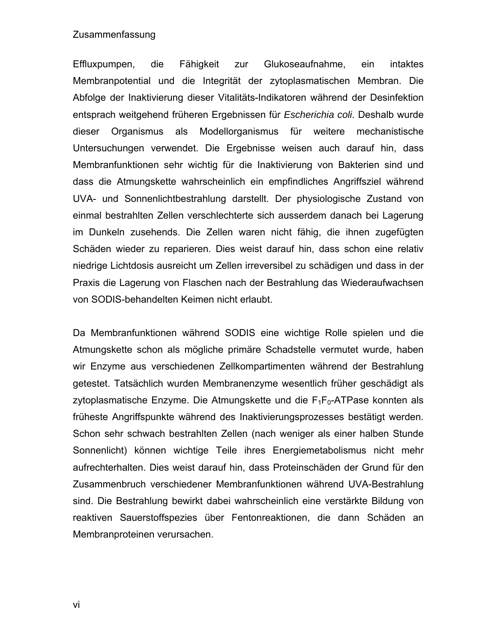#### Zusammenfassung

Effluxpumpen, die Fähigkeit zur Glukoseaufnahme, ein intaktes Membranpotential und die Integrität der zytoplasmatischen Membran. Die Abfolge der Inaktivierung dieser Vitalitäts-Indikatoren während der Desinfektion entsprach weitgehend früheren Ergebnissen für *Escherichia coli*. Deshalb wurde dieser Organismus als Modellorganismus für weitere mechanistische Untersuchungen verwendet. Die Ergebnisse weisen auch darauf hin, dass Membranfunktionen sehr wichtig für die Inaktivierung von Bakterien sind und dass die Atmungskette wahrscheinlich ein empfindliches Angriffsziel während UVA- und Sonnenlichtbestrahlung darstellt. Der physiologische Zustand von einmal bestrahlten Zellen verschlechterte sich ausserdem danach bei Lagerung im Dunkeln zusehends. Die Zellen waren nicht fähig, die ihnen zugefügten Schäden wieder zu reparieren. Dies weist darauf hin, dass schon eine relativ niedrige Lichtdosis ausreicht um Zellen irreversibel zu schädigen und dass in der Praxis die Lagerung von Flaschen nach der Bestrahlung das Wiederaufwachsen von SODIS-behandelten Keimen nicht erlaubt.

Da Membranfunktionen während SODIS eine wichtige Rolle spielen und die Atmungskette schon als mögliche primäre Schadstelle vermutet wurde, haben wir Enzyme aus verschiedenen Zellkompartimenten während der Bestrahlung getestet. Tatsächlich wurden Membranenzyme wesentlich früher geschädigt als zytoplasmatische Enzyme. Die Atmungskette und die  $F_1F_0$ -ATPase konnten als früheste Angriffspunkte während des Inaktivierungsprozesses bestätigt werden. Schon sehr schwach bestrahlten Zellen (nach weniger als einer halben Stunde Sonnenlicht) können wichtige Teile ihres Energiemetabolismus nicht mehr aufrechterhalten. Dies weist darauf hin, dass Proteinschäden der Grund für den Zusammenbruch verschiedener Membranfunktionen während UVA-Bestrahlung sind. Die Bestrahlung bewirkt dabei wahrscheinlich eine verstärkte Bildung von reaktiven Sauerstoffspezies über Fentonreaktionen, die dann Schäden an Membranproteinen verursachen.